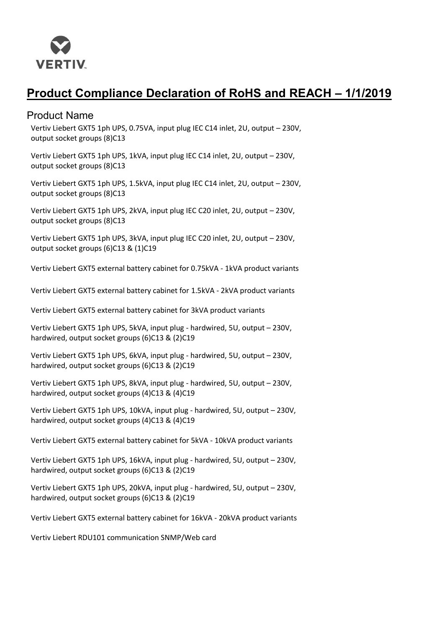

# **Product Compliance Declaration of RoHS and REACH – 1/1/2019**

### Product Name

Vertiv Liebert GXT5 1ph UPS, 0.75VA, input plug IEC C14 inlet, 2U, output – 230V, output socket groups (8)C13

Vertiv Liebert GXT5 1ph UPS, 1kVA, input plug IEC C14 inlet, 2U, output – 230V, output socket groups (8)C13

Vertiv Liebert GXT5 1ph UPS, 1.5kVA, input plug IEC C14 inlet, 2U, output – 230V, output socket groups (8)C13

Vertiv Liebert GXT5 1ph UPS, 2kVA, input plug IEC C20 inlet, 2U, output – 230V, output socket groups (8)C13

Vertiv Liebert GXT5 1ph UPS, 3kVA, input plug IEC C20 inlet, 2U, output – 230V, output socket groups (6)C13 & (1)C19

Vertiv Liebert GXT5 external battery cabinet for 0.75kVA - 1kVA product variants

Vertiv Liebert GXT5 external battery cabinet for 1.5kVA - 2kVA product variants

Vertiv Liebert GXT5 external battery cabinet for 3kVA product variants

Vertiv Liebert GXT5 1ph UPS, 5kVA, input plug - hardwired, 5U, output – 230V, hardwired, output socket groups (6)C13 & (2)C19

Vertiv Liebert GXT5 1ph UPS, 6kVA, input plug - hardwired, 5U, output – 230V, hardwired, output socket groups (6)C13 & (2)C19

Vertiv Liebert GXT5 1ph UPS, 8kVA, input plug - hardwired, 5U, output – 230V, hardwired, output socket groups (4)C13 & (4)C19

Vertiv Liebert GXT5 1ph UPS, 10kVA, input plug - hardwired, 5U, output – 230V, hardwired, output socket groups (4)C13 & (4)C19

Vertiv Liebert GXT5 external battery cabinet for 5kVA - 10kVA product variants

Vertiv Liebert GXT5 1ph UPS, 16kVA, input plug - hardwired, 5U, output – 230V, hardwired, output socket groups (6)C13 & (2)C19

Vertiv Liebert GXT5 1ph UPS, 20kVA, input plug - hardwired, 5U, output – 230V, hardwired, output socket groups (6)C13 & (2)C19

Vertiv Liebert GXT5 external battery cabinet for 16kVA - 20kVA product variants

Vertiv Liebert RDU101 communication SNMP/Web card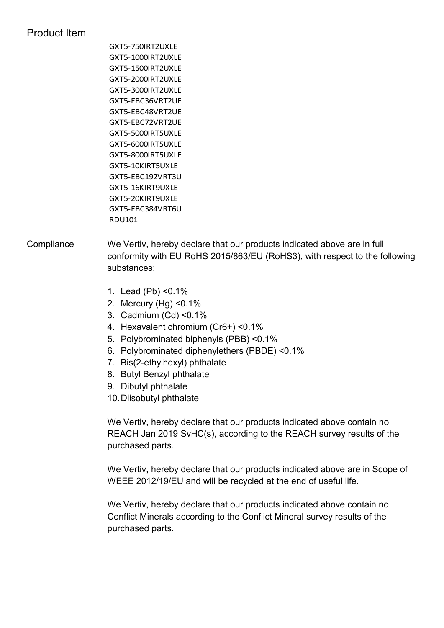## Product Item

GXT5-750IRT2UXLE GXT5-1000IRT2UXLE GXT5-1500IRT2UXLE GXT5-2000IRT2UXLE GXT5-3000IRT2UXLE GXT5-EBC36VRT2UE GXT5-EBC48VRT2UE GXT5-EBC72VRT2UE GXT5-5000IRT5UXLE GXT5-6000IRT5UXLE GXT5-8000IRT5UXLE GXT5-10KIRT5UXLE GXT5-EBC192VRT3U GXT5-16KIRT9UXLE GXT5-20KIRT9UXLE GXT5-EBC384VRT6U RDU101

### Compliance We Vertiv, hereby declare that our products indicated above are in full conformity with EU RoHS 2015/863/EU (RoHS3), with respect to the following substances:

- 1. Lead (Pb) <0.1%
- 2. Mercury (Hg) <0.1%
- 3. Cadmium (Cd) <0.1%
- 4. Hexavalent chromium (Cr6+) <0.1%
- 5. Polybrominated biphenyls (PBB) <0.1%
- 6. Polybrominated diphenylethers (PBDE) <0.1%
- 7. Bis(2-ethylhexyl) phthalate
- 8. Butyl Benzyl phthalate
- 9. Dibutyl phthalate
- 10.Diisobutyl phthalate

We Vertiv, hereby declare that our products indicated above contain no REACH Jan 2019 SvHC(s), according to the REACH survey results of the purchased parts.

We Vertiv, hereby declare that our products indicated above are in Scope of WEEE 2012/19/EU and will be recycled at the end of useful life.

We Vertiv, hereby declare that our products indicated above contain no Conflict Minerals according to the Conflict Mineral survey results of the purchased parts.